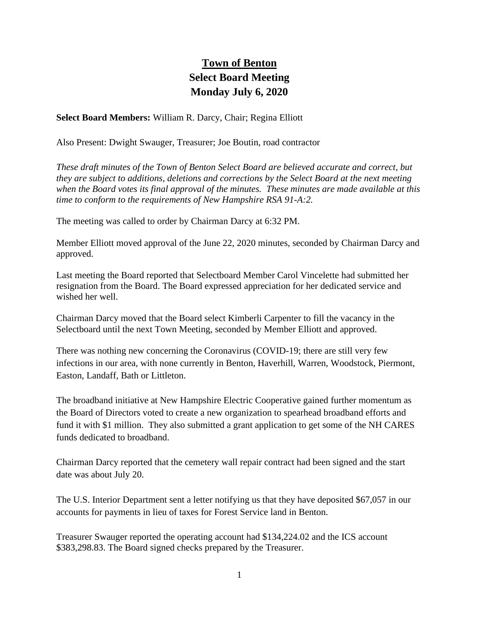## **Town of Benton Select Board Meeting Monday July 6, 2020**

**Select Board Members:** William R. Darcy, Chair; Regina Elliott

Also Present: Dwight Swauger, Treasurer; Joe Boutin, road contractor

*These draft minutes of the Town of Benton Select Board are believed accurate and correct, but they are subject to additions, deletions and corrections by the Select Board at the next meeting when the Board votes its final approval of the minutes. These minutes are made available at this time to conform to the requirements of New Hampshire RSA 91-A:2.*

The meeting was called to order by Chairman Darcy at 6:32 PM.

Member Elliott moved approval of the June 22, 2020 minutes, seconded by Chairman Darcy and approved.

Last meeting the Board reported that Selectboard Member Carol Vincelette had submitted her resignation from the Board. The Board expressed appreciation for her dedicated service and wished her well.

Chairman Darcy moved that the Board select Kimberli Carpenter to fill the vacancy in the Selectboard until the next Town Meeting, seconded by Member Elliott and approved.

There was nothing new concerning the Coronavirus (COVID-19; there are still very few infections in our area, with none currently in Benton, Haverhill, Warren, Woodstock, Piermont, Easton, Landaff, Bath or Littleton.

The broadband initiative at New Hampshire Electric Cooperative gained further momentum as the Board of Directors voted to create a new organization to spearhead broadband efforts and fund it with \$1 million. They also submitted a grant application to get some of the NH CARES funds dedicated to broadband.

Chairman Darcy reported that the cemetery wall repair contract had been signed and the start date was about July 20.

The U.S. Interior Department sent a letter notifying us that they have deposited \$67,057 in our accounts for payments in lieu of taxes for Forest Service land in Benton.

Treasurer Swauger reported the operating account had \$134,224.02 and the ICS account \$383,298.83. The Board signed checks prepared by the Treasurer.